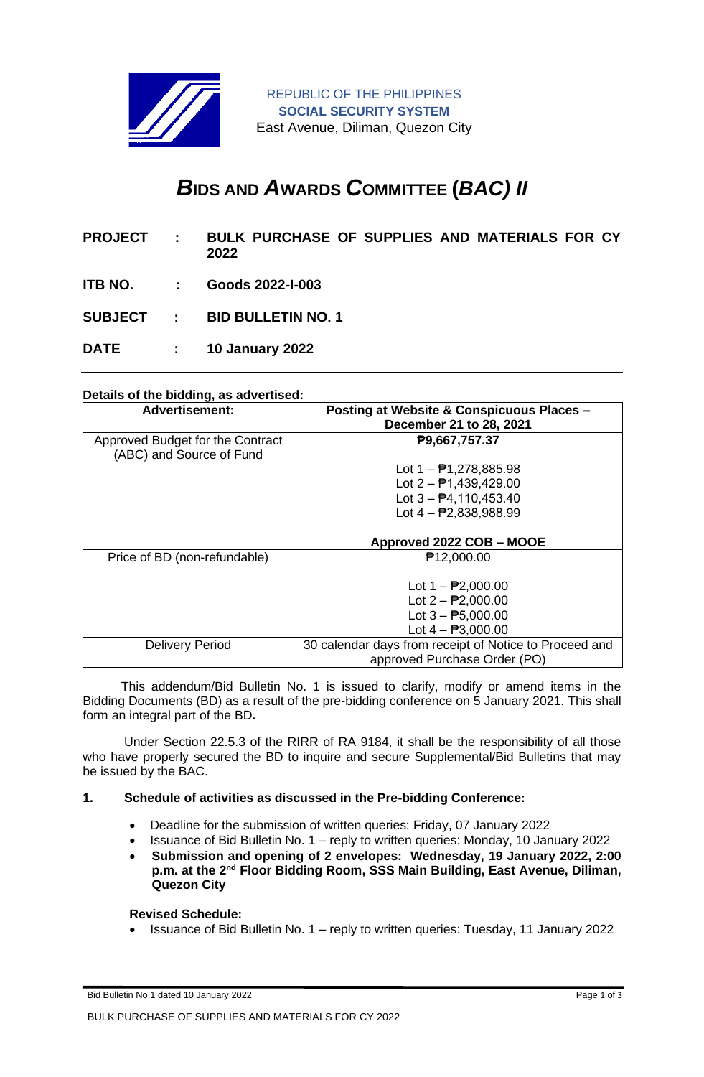

# *B***IDS AND** *A***WARDS** *C***OMMITTEE (***BAC) II*

- **PROJECT : BULK PURCHASE OF SUPPLIES AND MATERIALS FOR CY 2022**
- **ITB NO. : Goods 2022-I-003**
- **SUBJECT : BID BULLETIN NO. 1**

**DATE : 10 January 2022**

## **Details of the bidding, as advertised:**

| <b>Advertisement:</b>            | Posting at Website & Conspicuous Places -              |
|----------------------------------|--------------------------------------------------------|
|                                  | December 21 to 28, 2021                                |
| Approved Budget for the Contract | P9,667,757.37                                          |
| (ABC) and Source of Fund         |                                                        |
|                                  | Lot $1 - \frac{1}{2}$ 1,278,885.98                     |
|                                  | Lot $2 - 1,439,429.00$                                 |
|                                  | Lot $3 - \frac{1}{2}4,110,453.40$                      |
|                                  | Lot $4 - P2,838,988.99$                                |
|                                  |                                                        |
|                                  | Approved 2022 COB - MOOE                               |
| Price of BD (non-refundable)     | <b>₱12,000.00</b>                                      |
|                                  |                                                        |
|                                  | Lot $1 - \frac{1}{2}2,000.00$                          |
|                                  | Lot $2 - P2,000.00$                                    |
|                                  | Lot $3 - P5,000.00$                                    |
|                                  | Lot $4 - $ P3,000.00                                   |
| <b>Delivery Period</b>           | 30 calendar days from receipt of Notice to Proceed and |
|                                  | approved Purchase Order (PO)                           |

 This addendum/Bid Bulletin No. 1 is issued to clarify, modify or amend items in the Bidding Documents (BD) as a result of the pre-bidding conference on 5 January 2021. This shall form an integral part of the BD**.**

Under Section 22.5.3 of the RIRR of RA 9184, it shall be the responsibility of all those who have properly secured the BD to inquire and secure Supplemental/Bid Bulletins that may be issued by the BAC.

#### **1. Schedule of activities as discussed in the Pre-bidding Conference:**

- Deadline for the submission of written queries: Friday, 07 January 2022
- Issuance of Bid Bulletin No. 1 reply to written queries: Monday, 10 January 2022
- **Submission and opening of 2 envelopes: Wednesday, 19 January 2022, 2:00**  p.m. at the 2<sup>nd</sup> Floor Bidding Room, SSS Main Building, East Avenue, Diliman, **Quezon City**

**Revised Schedule:**

• Issuance of Bid Bulletin No. 1 – reply to written queries: Tuesday, 11 January 2022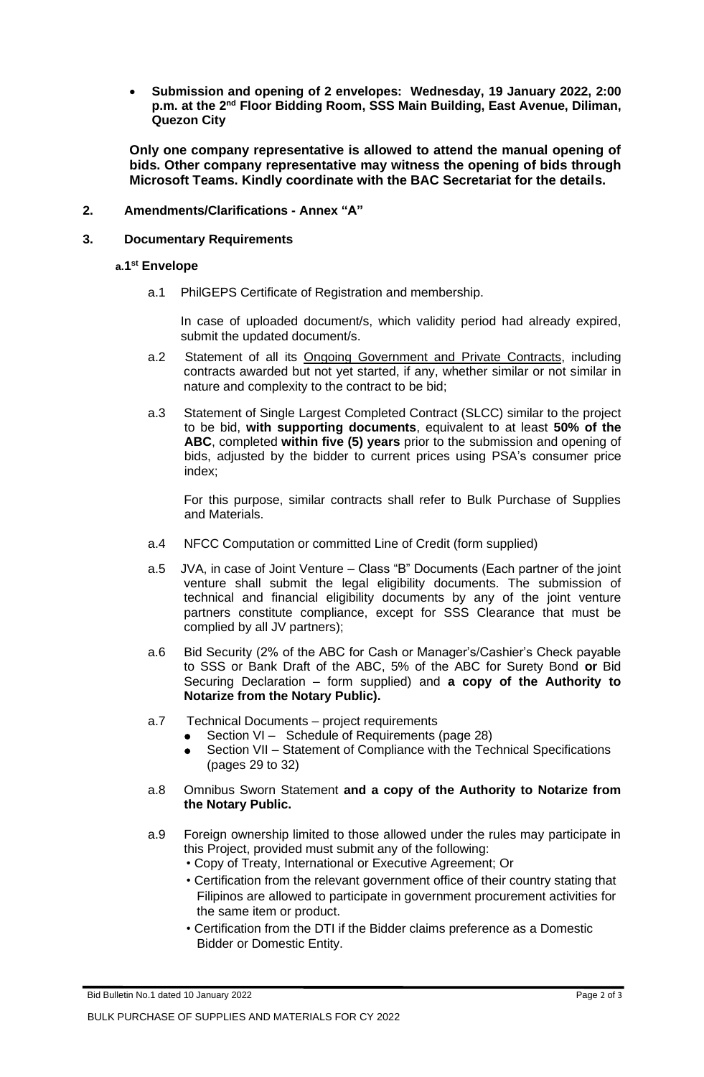• **Submission and opening of 2 envelopes: Wednesday, 19 January 2022, 2:00**  p.m. at the 2<sup>nd</sup> Floor Bidding Room, SSS Main Building, East Avenue, Diliman, **Quezon City**

**Only one company representative is allowed to attend the manual opening of bids. Other company representative may witness the opening of bids through Microsoft Teams. Kindly coordinate with the BAC Secretariat for the details.**

### **2. Amendments/Clarifications - Annex "A"**

#### **3. Documentary Requirements**

#### **a.1 st Envelope**

a.1 PhilGEPS Certificate of Registration and membership.

In case of uploaded document/s, which validity period had already expired, submit the updated document/s.

- a.2 Statement of all its Ongoing Government and Private Contracts, including contracts awarded but not yet started, if any, whether similar or not similar in nature and complexity to the contract to be bid;
- a.3 Statement of Single Largest Completed Contract (SLCC) similar to the project to be bid, **with supporting documents**, equivalent to at least **50% of the ABC**, completed **within five (5) years** prior to the submission and opening of bids, adjusted by the bidder to current prices using PSA's consumer price index;

For this purpose, similar contracts shall refer to Bulk Purchase of Supplies and Materials.

- a.4 NFCC Computation or committed Line of Credit (form supplied)
- a.5 JVA, in case of Joint Venture Class "B" Documents (Each partner of the joint venture shall submit the legal eligibility documents. The submission of technical and financial eligibility documents by any of the joint venture partners constitute compliance, except for SSS Clearance that must be complied by all JV partners);
- a.6 Bid Security (2% of the ABC for Cash or Manager's/Cashier's Check payable to SSS or Bank Draft of the ABC, 5% of the ABC for Surety Bond **or** Bid Securing Declaration – form supplied) and **a copy of the Authority to Notarize from the Notary Public).**
- a.7 Technical Documents project requirements
	- Section VI Schedule of Requirements (page 28)
	- Section VII Statement of Compliance with the Technical Specifications (pages 29 to 32)
- a.8 Omnibus Sworn Statement **and a copy of the Authority to Notarize from the Notary Public.**
- a.9 Foreign ownership limited to those allowed under the rules may participate in this Project, provided must submit any of the following:
	- Copy of Treaty, International or Executive Agreement; Or
	- Certification from the relevant government office of their country stating that Filipinos are allowed to participate in government procurement activities for the same item or product.
	- Certification from the DTI if the Bidder claims preference as a Domestic Bidder or Domestic Entity.